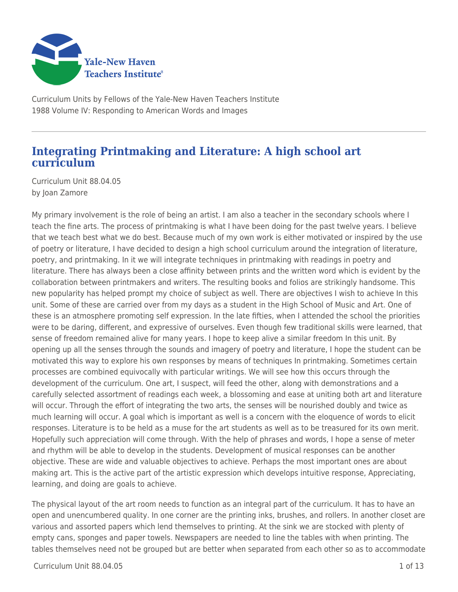

Curriculum Units by Fellows of the Yale-New Haven Teachers Institute 1988 Volume IV: Responding to American Words and Images

# **Integrating Printmaking and Literature: A high school art curriculum**

Curriculum Unit 88.04.05 by Joan Zamore

My primary involvement is the role of being an artist. I am also a teacher in the secondary schools where I teach the fine arts. The process of printmaking is what I have been doing for the past twelve years. I believe that we teach best what we do best. Because much of my own work is either motivated or inspired by the use of poetry or literature, I have decided to design a high school curriculum around the integration of literature, poetry, and printmaking. In it we will integrate techniques in printmaking with readings in poetry and literature. There has always been a close affinity between prints and the written word which is evident by the collaboration between printmakers and writers. The resulting books and folios are strikingly handsome. This new popularity has helped prompt my choice of subject as well. There are objectives I wish to achieve In this unit. Some of these are carried over from my days as a student in the High School of Music and Art. One of these is an atmosphere promoting self expression. In the late fifties, when I attended the school the priorities were to be daring, different, and expressive of ourselves. Even though few traditional skills were learned, that sense of freedom remained alive for many years. I hope to keep alive a similar freedom In this unit. By opening up all the senses through the sounds and imagery of poetry and literature, I hope the student can be motivated this way to explore his own responses by means of techniques In printmaking. Sometimes certain processes are combined equivocally with particular writings. We will see how this occurs through the development of the curriculum. One art, I suspect, will feed the other, along with demonstrations and a carefully selected assortment of readings each week, a blossoming and ease at uniting both art and literature will occur. Through the effort of integrating the two arts, the senses will be nourished doubly and twice as much learning will occur. A goal which is important as well is a concern with the eloquence of words to elicit responses. Literature is to be held as a muse for the art students as well as to be treasured for its own merit. Hopefully such appreciation will come through. With the help of phrases and words, I hope a sense of meter and rhythm will be able to develop in the students. Development of musical responses can be another objective. These are wide and valuable objectives to achieve. Perhaps the most important ones are about making art. This is the active part of the artistic expression which develops intuitive response, Appreciating, learning, and doing are goals to achieve.

The physical layout of the art room needs to function as an integral part of the curriculum. It has to have an open and unencumbered quality. In one corner are the printing inks, brushes, and rollers. In another closet are various and assorted papers which lend themselves to printing. At the sink we are stocked with plenty of empty cans, sponges and paper towels. Newspapers are needed to line the tables with when printing. The tables themselves need not be grouped but are better when separated from each other so as to accommodate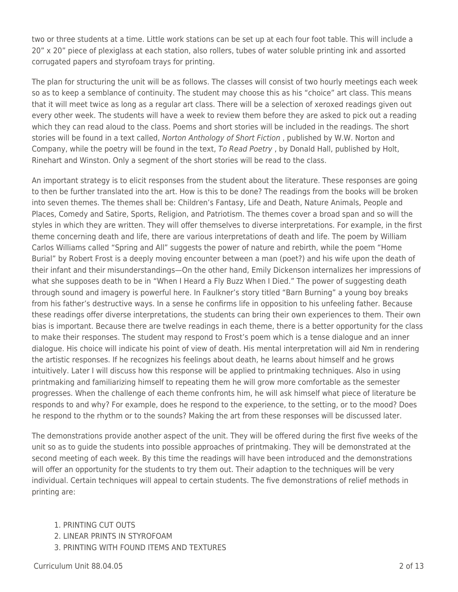two or three students at a time. Little work stations can be set up at each four foot table. This will include a 20" x 20" piece of plexiglass at each station, also rollers, tubes of water soluble printing ink and assorted corrugated papers and styrofoam trays for printing.

The plan for structuring the unit will be as follows. The classes will consist of two hourly meetings each week so as to keep a semblance of continuity. The student may choose this as his "choice" art class. This means that it will meet twice as long as a regular art class. There will be a selection of xeroxed readings given out every other week. The students will have a week to review them before they are asked to pick out a reading which they can read aloud to the class. Poems and short stories will be included in the readings. The short stories will be found in a text called, Norton Anthology of Short Fiction , published by W.W. Norton and Company, while the poetry will be found in the text, To Read Poetry , by Donald Hall, published by Holt, Rinehart and Winston. Only a segment of the short stories will be read to the class.

An important strategy is to elicit responses from the student about the literature. These responses are going to then be further translated into the art. How is this to be done? The readings from the books will be broken into seven themes. The themes shall be: Children's Fantasy, Life and Death, Nature Animals, People and Places, Comedy and Satire, Sports, Religion, and Patriotism. The themes cover a broad span and so will the styles in which they are written. They will offer themselves to diverse interpretations. For example, in the first theme concerning death and life, there are various interpretations of death and life. The poem by William Carlos Williams called "Spring and All" suggests the power of nature and rebirth, while the poem "Home Burial" by Robert Frost is a deeply moving encounter between a man (poet?) and his wife upon the death of their infant and their misunderstandings—On the other hand, Emily Dickenson internalizes her impressions of what she supposes death to be in "When I Heard a Fly Buzz When I Died." The power of suggesting death through sound and imagery is powerful here. In Faulkner's story titled "Barn Burning" a young boy breaks from his father's destructive ways. In a sense he confirms life in opposition to his unfeeling father. Because these readings offer diverse interpretations, the students can bring their own experiences to them. Their own bias is important. Because there are twelve readings in each theme, there is a better opportunity for the class to make their responses. The student may respond to Frost's poem which is a tense dialogue and an inner dialogue. His choice will indicate his point of view of death. His mental interpretation will aid Nm in rendering the artistic responses. If he recognizes his feelings about death, he learns about himself and he grows intuitively. Later I will discuss how this response will be applied to printmaking techniques. Also in using printmaking and familiarizing himself to repeating them he will grow more comfortable as the semester progresses. When the challenge of each theme confronts him, he will ask himself what piece of literature be responds to and why? For example, does he respond to the experience, to the setting, or to the mood? Does he respond to the rhythm or to the sounds? Making the art from these responses will be discussed later.

The demonstrations provide another aspect of the unit. They will be offered during the first five weeks of the unit so as to guide the students into possible approaches of printmaking. They will be demonstrated at the second meeting of each week. By this time the readings will have been introduced and the demonstrations will offer an opportunity for the students to try them out. Their adaption to the techniques will be very individual. Certain techniques will appeal to certain students. The five demonstrations of relief methods in printing are:

- 1. PRINTING CUT OUTS
- 2. LINEAR PRINTS IN STYROFOAM
- 3. PRINTING WITH FOUND ITEMS AND TEXTURES

Curriculum Unit 88.04.05 2 of 13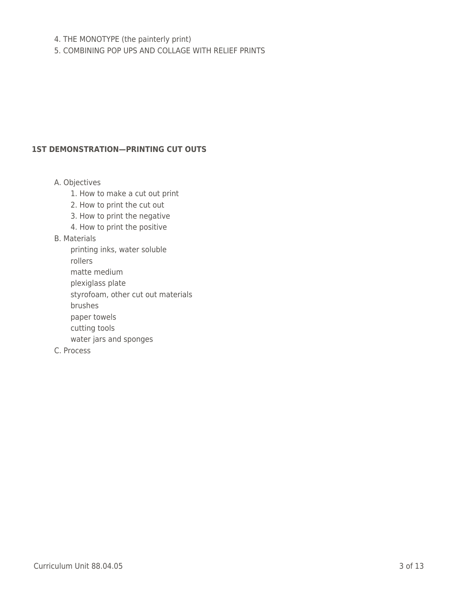## 4. THE MONOTYPE (the painterly print)

5. COMBINING POP UPS AND COLLAGE WITH RELIEF PRINTS

#### **1ST DEMONSTRATION—PRINTING CUT OUTS**

A. Objectives

- 1. How to make a cut out print
- 2. How to print the cut out
- 3. How to print the negative
- 4. How to print the positive

#### B. Materials

printing inks, water soluble

\_\_\_\_ rollers

- \_\_\_\_ matte medium
- plexiglass plate
- styrofoam, other cut out materials
- \_\_\_\_ brushes
- paper towels
- cutting tools
- water jars and sponges
- C. Process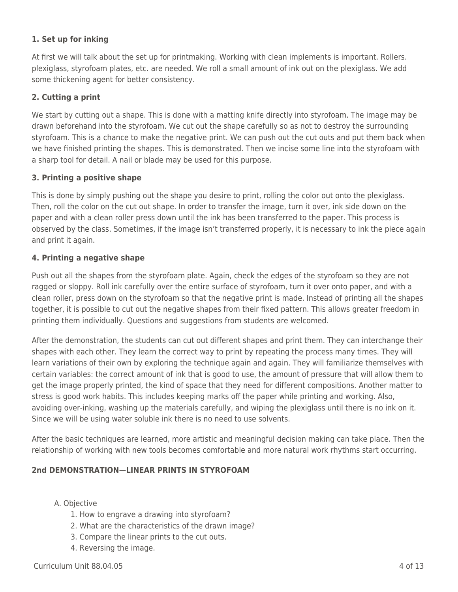## **1. Set up for inking**

At first we will talk about the set up for printmaking. Working with clean implements is important. Rollers. plexiglass, styrofoam plates, etc. are needed. We roll a small amount of ink out on the plexiglass. We add some thickening agent for better consistency.

## **2. Cutting a print**

We start by cutting out a shape. This is done with a matting knife directly into styrofoam. The image may be drawn beforehand into the styrofoam. We cut out the shape carefully so as not to destroy the surrounding styrofoam. This is a chance to make the negative print. We can push out the cut outs and put them back when we have finished printing the shapes. This is demonstrated. Then we incise some line into the styrofoam with a sharp tool for detail. A nail or blade may be used for this purpose.

## **3. Printing a positive shape**

This is done by simply pushing out the shape you desire to print, rolling the color out onto the plexiglass. Then, roll the color on the cut out shape. In order to transfer the image, turn it over, ink side down on the paper and with a clean roller press down until the ink has been transferred to the paper. This process is observed by the class. Sometimes, if the image isn't transferred properly, it is necessary to ink the piece again and print it again.

## **4. Printing a negative shape**

Push out all the shapes from the styrofoam plate. Again, check the edges of the styrofoam so they are not ragged or sloppy. Roll ink carefully over the entire surface of styrofoam, turn it over onto paper, and with a clean roller, press down on the styrofoam so that the negative print is made. Instead of printing all the shapes together, it is possible to cut out the negative shapes from their fixed pattern. This allows greater freedom in printing them individually. Questions and suggestions from students are welcomed.

After the demonstration, the students can cut out different shapes and print them. They can interchange their shapes with each other. They learn the correct way to print by repeating the process many times. They will learn variations of their own by exploring the technique again and again. They will familiarize themselves with certain variables: the correct amount of ink that is good to use, the amount of pressure that will allow them to get the image properly printed, the kind of space that they need for different compositions. Another matter to stress is good work habits. This includes keeping marks off the paper while printing and working. Also, avoiding over-inking, washing up the materials carefully, and wiping the plexiglass until there is no ink on it. Since we will be using water soluble ink there is no need to use solvents.

After the basic techniques are learned, more artistic and meaningful decision making can take place. Then the relationship of working with new tools becomes comfortable and more natural work rhythms start occurring.

## **2nd DEMONSTRATION—LINEAR PRINTS IN STYROFOAM**

## A. Objective

- 1. How to engrave a drawing into styrofoam?
- 2. What are the characteristics of the drawn image?
- 3. Compare the linear prints to the cut outs.
- 4. Reversing the image.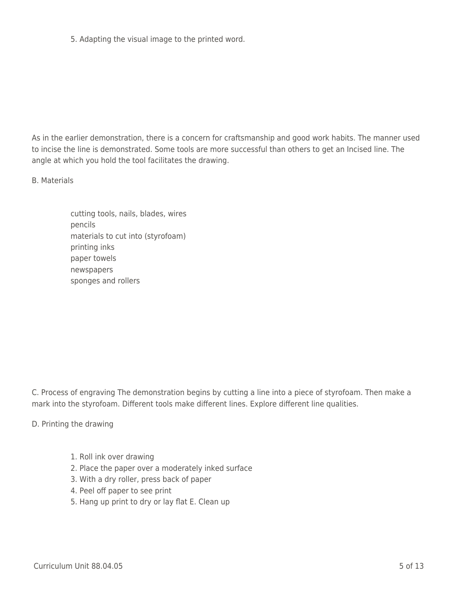5. Adapting the visual image to the printed word.

As in the earlier demonstration, there is a concern for craftsmanship and good work habits. The manner used to incise the line is demonstrated. Some tools are more successful than others to get an Incised line. The angle at which you hold the tool facilitates the drawing.

B. Materials

cutting tools, nails, blades, wires pencils materials to cut into (styrofoam) printing inks paper towels newspapers sponges and rollers

C. Process of engraving The demonstration begins by cutting a line into a piece of styrofoam. Then make a mark into the styrofoam. Different tools make different lines. Explore different line qualities.

D. Printing the drawing

- 1. Roll ink over drawing
- 2. Place the paper over a moderately inked surface
- 3. With a dry roller, press back of paper
- 4. Peel off paper to see print
- 5. Hang up print to dry or lay flat E. Clean up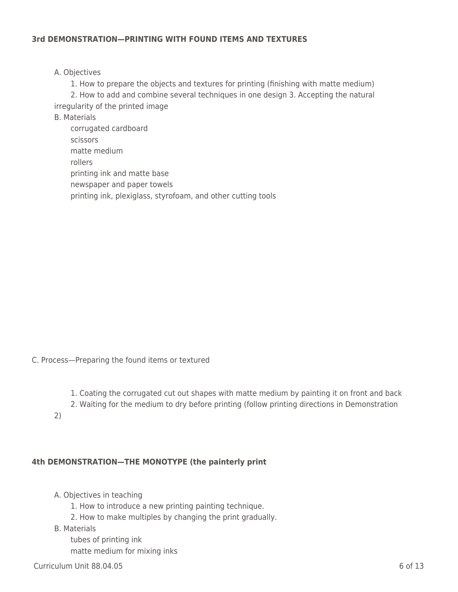#### **3rd DEMONSTRATION—PRINTING WITH FOUND ITEMS AND TEXTURES**

#### A. Objectives

1. How to prepare the objects and textures for printing (finishing with matte medium) 2. How to add and combine several techniques in one design 3. Accepting the natural irregularity of the printed image

- B. Materials
	- corrugated cardboard \_\_\_\_ scissors matte medium \_\_\_\_ rollers printing ink and matte base newspaper and paper towels printing ink, plexiglass, styrofoam, and other cutting tools

C. Process—Preparing the found items or textured

- 1. Coating the corrugated cut out shapes with matte medium by painting it on front and back
- 2. Waiting for the medium to dry before printing (follow printing directions in Demonstration
- 2)

#### **4th DEMONSTRATION—THE MONOTYPE (the painterly print**

A. Objectives in teaching

- 1. How to introduce a new printing painting technique.
- 2. How to make multiples by changing the print gradually.
- B. Materials

tubes of printing ink matte medium for mixing inks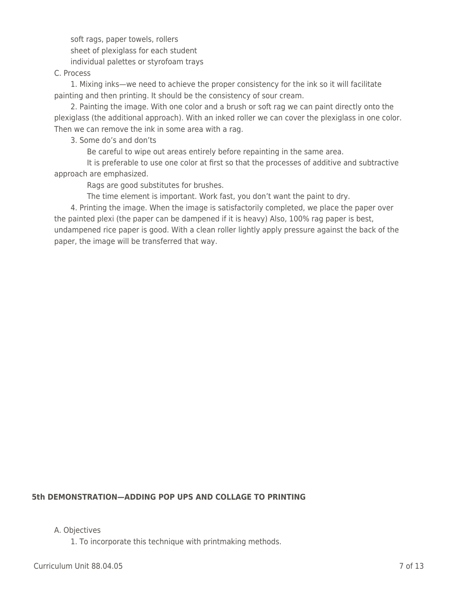soft rags, paper towels, rollers sheet of plexiglass for each student individual palettes or styrofoam trays

#### C. Process

1. Mixing inks—we need to achieve the proper consistency for the ink so it will facilitate painting and then printing. It should be the consistency of sour cream.

2. Painting the image. With one color and a brush or soft rag we can paint directly onto the plexiglass (the additional approach). With an inked roller we can cover the plexiglass in one color. Then we can remove the ink in some area with a rag.

\_\_\_\_ 3. Some do's and don'ts

Be careful to wipe out areas entirely before repainting in the same area.

It is preferable to use one color at first so that the processes of additive and subtractive approach are emphasized.

Rags are good substitutes for brushes.

The time element is important. Work fast, you don't want the paint to dry.

4. Printing the image. When the image is satisfactorily completed, we place the paper over the painted plexi (the paper can be dampened if it is heavy) Also, 100% rag paper is best, undampened rice paper is good. With a clean roller lightly apply pressure against the back of the paper, the image will be transferred that way.

## **5th DEMONSTRATION—ADDING POP UPS AND COLLAGE TO PRINTING**

A. Objectives

1. To incorporate this technique with printmaking methods.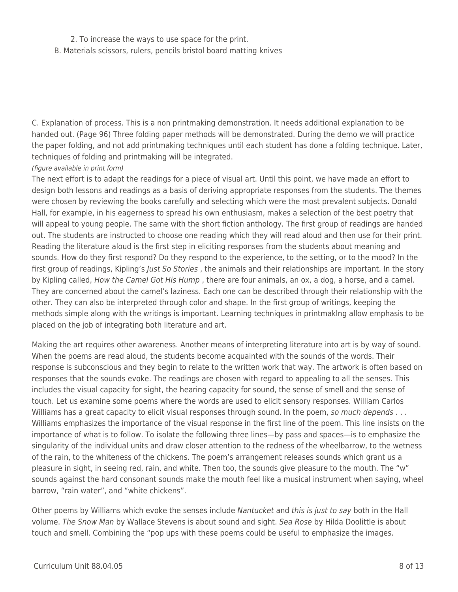### 2. To increase the ways to use space for the print.

B. Materials scissors, rulers, pencils bristol board matting knives

C. Explanation of process. This is a non printmaking demonstration. It needs additional explanation to be handed out. (Page 96) Three folding paper methods will be demonstrated. During the demo we will practice the paper folding, and not add printmaking techniques until each student has done a folding technique. Later, techniques of folding and printmaking will be integrated.

#### (figure available in print form)

The next effort is to adapt the readings for a piece of visual art. Until this point, we have made an effort to design both lessons and readings as a basis of deriving appropriate responses from the students. The themes were chosen by reviewing the books carefully and selecting which were the most prevalent subjects. Donald Hall, for example, in his eagerness to spread his own enthusiasm, makes a selection of the best poetry that will appeal to young people. The same with the short fiction anthology. The first group of readings are handed out. The students are instructed to choose one reading which they will read aloud and then use for their print. Reading the literature aloud is the first step in eliciting responses from the students about meaning and sounds. How do they first respond? Do they respond to the experience, to the setting, or to the mood? In the first group of readings, Kipling's Just So Stories, the animals and their relationships are important. In the story by Kipling called, How the Camel Got His Hump, there are four animals, an ox, a dog, a horse, and a camel. They are concerned about the camel's laziness. Each one can be described through their relationship with the other. They can also be interpreted through color and shape. In the first group of writings, keeping the methods simple along with the writings is important. Learning techniques in printmaklng allow emphasis to be placed on the job of integrating both literature and art.

Making the art requires other awareness. Another means of interpreting literature into art is by way of sound. When the poems are read aloud, the students become acquainted with the sounds of the words. Their response is subconscious and they begin to relate to the written work that way. The artwork is often based on responses that the sounds evoke. The readings are chosen with regard to appealing to all the senses. This includes the visual capacity for sight, the hearing capacity for sound, the sense of smell and the sense of touch. Let us examine some poems where the words are used to elicit sensory responses. William Carlos Williams has a great capacity to elicit visual responses through sound. In the poem, so much depends . . . Williams emphasizes the importance of the visual response in the first line of the poem. This line insists on the importance of what is to follow. To isolate the following three lines—by pass and spaces—is to emphasize the singularity of the individual units and draw closer attention to the redness of the wheelbarrow, to the wetness of the rain, to the whiteness of the chickens. The poem's arrangement releases sounds which grant us a pleasure in sight, in seeing red, rain, and white. Then too, the sounds give pleasure to the mouth. The "w" sounds against the hard consonant sounds make the mouth feel like a musical instrument when saying, wheel barrow, "rain water", and "white chickens".

Other poems by Williams which evoke the senses include Nantucket and this is just to say both in the Hall volume. The Snow Man by Wallace Stevens is about sound and sight. Sea Rose by Hilda Doolittle is about touch and smell. Combining the "pop ups with these poems could be useful to emphasize the images.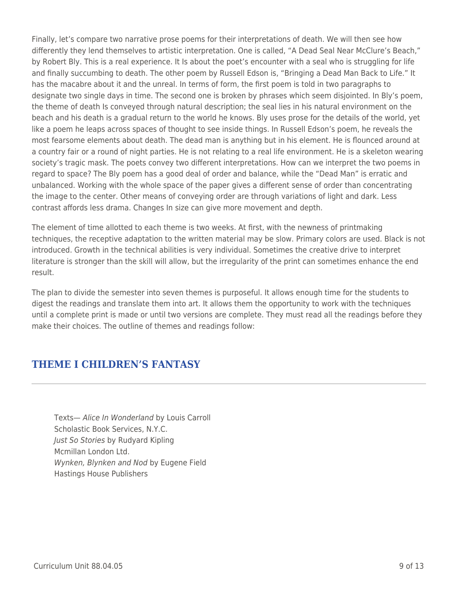Finally, let's compare two narrative prose poems for their interpretations of death. We will then see how differently they lend themselves to artistic interpretation. One is called, "A Dead Seal Near McClure's Beach," by Robert Bly. This is a real experience. It Is about the poet's encounter with a seal who is struggling for life and finally succumbing to death. The other poem by Russell Edson is, "Bringing a Dead Man Back to Life." It has the macabre about it and the unreal. In terms of form, the first poem is told in two paragraphs to designate two single days in time. The second one is broken by phrases which seem disjointed. In Bly's poem, the theme of death Is conveyed through natural description; the seal lies in his natural environment on the beach and his death is a gradual return to the world he knows. Bly uses prose for the details of the world, yet like a poem he leaps across spaces of thought to see inside things. In Russell Edson's poem, he reveals the most fearsome elements about death. The dead man is anything but in his element. He is flounced around at a country fair or a round of night parties. He is not relating to a real life environment. He is a skeleton wearing society's tragic mask. The poets convey two different interpretations. How can we interpret the two poems in regard to space? The Bly poem has a good deal of order and balance, while the "Dead Man" is erratic and unbalanced. Working with the whole space of the paper gives a different sense of order than concentrating the image to the center. Other means of conveying order are through variations of light and dark. Less contrast affords less drama. Changes In size can give more movement and depth.

The element of time allotted to each theme is two weeks. At first, with the newness of printmaking techniques, the receptive adaptation to the written material may be slow. Primary colors are used. Black is not introduced. Growth in the technical abilities is very individual. Sometimes the creative drive to interpret literature is stronger than the skill will allow, but the irregularity of the print can sometimes enhance the end result.

The plan to divide the semester into seven themes is purposeful. It allows enough time for the students to digest the readings and translate them into art. It allows them the opportunity to work with the techniques until a complete print is made or until two versions are complete. They must read all the readings before they make their choices. The outline of themes and readings follow:

# **THEME I CHILDREN'S FANTASY**

Texts— Alice In Wonderland by Louis Carroll Scholastic Book Services, N.Y.C. Just So Stories by Rudyard Kipling Mcmillan London Ltd. Wynken, Blynken and Nod by Eugene Field Hastings House Publishers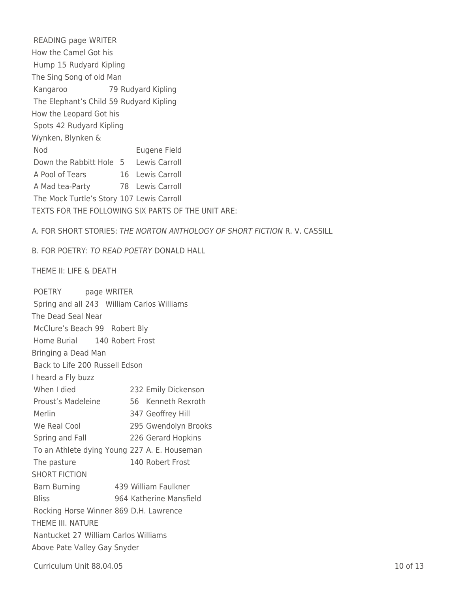READING page WRITER How the Camel Got his Hump 15 Rudyard Kipling The Sing Song of old Man Kangaroo 79 Rudyard Kipling The Elephant's Child 59 Rudyard Kipling How the Leopard Got his Spots 42 Rudyard Kipling Wynken, Blynken & Nod Eugene Field Down the Rabbitt Hole 5 Lewis Carroll A Pool of Tears 16 Lewis Carroll A Mad tea-Party 78 Lewis Carroll The Mock Turtle's Story 107 Lewis Carroll TEXTS FOR THE FOLLOWING SIX PARTS OF THE UNIT ARE:

A. FOR SHORT STORIES: THE NORTON ANTHOLOGY OF SHORT FICTION R. V. CASSILL

B. FOR POETRY: TO READ POETRY DONALD HALL

THEME II: LIFE & DEATH

| POETRY page WRITER             |                                              |
|--------------------------------|----------------------------------------------|
|                                | Spring and all 243 William Carlos Williams   |
| The Dead Seal Near             |                                              |
| McClure's Beach 99 Robert Bly  |                                              |
| Home Burial 140 Robert Frost   |                                              |
| Bringing a Dead Man            |                                              |
| Back to Life 200 Russell Edson |                                              |
| I heard a Fly buzz             |                                              |
| When I died                    | 232 Emily Dickenson                          |
| Proust's Madeleine             | 56 Kenneth Rexroth                           |
| Merlin                         | 347 Geoffrey Hill                            |
| We Real Cool                   | 295 Gwendolyn Brooks                         |
| Spring and Fall                | 226 Gerard Hopkins                           |
|                                | To an Athlete dying Young 227 A. E. Houseman |
| The pasture                    | 140 Robert Frost                             |
| <b>SHORT FICTION</b>           |                                              |
| <b>Barn Burning</b>            | 439 William Faulkner                         |
| <b>Bliss</b>                   | 964 Katherine Mansfield                      |
|                                | Rocking Horse Winner 869 D.H. Lawrence       |
| THEME III. NATURE              |                                              |
|                                | Nantucket 27 William Carlos Williams         |
| Above Pate Valley Gay Snyder   |                                              |
|                                |                                              |

Curriculum Unit 88.04.05 10 of 13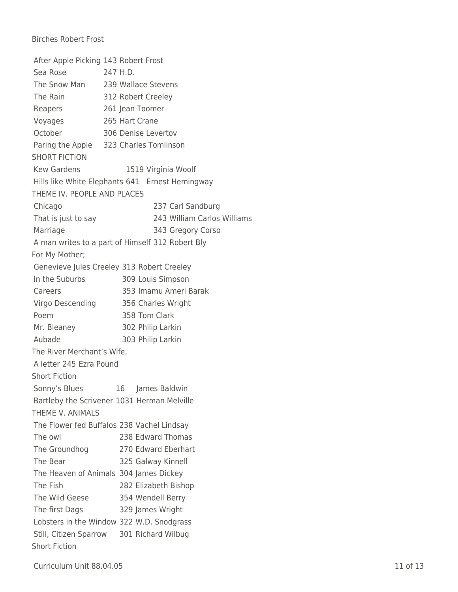## Birches Robert Frost

|                             | After Apple Picking 143 Robert Frost             |
|-----------------------------|--------------------------------------------------|
| Sea Rose                    | 247 H.D.                                         |
|                             | The Snow Man 239 Wallace Stevens                 |
| The Rain                    | 312 Robert Creeley                               |
| Reapers                     | 261 Jean Toomer                                  |
| Voyages                     | 265 Hart Crane                                   |
| October                     | 306 Denise Levertov                              |
|                             | Paring the Apple 323 Charles Tomlinson           |
| <b>SHORT FICTION</b>        |                                                  |
| <b>Kew Gardens</b>          | 1519 Virginia Woolf                              |
|                             | Hills like White Elephants 641 Ernest Hemingway  |
| THEME IV. PEOPLE AND PLACES |                                                  |
| Chicago                     | 237 Carl Sandburg                                |
| That is just to say         | 243 William Carlos Williams                      |
| Marriage                    | 343 Gregory Corso                                |
|                             | A man writes to a part of Himself 312 Robert Bly |
| For My Mother;              |                                                  |
|                             | Genevieve Jules Creeley 313 Robert Creeley       |
| In the Suburbs              | 309 Louis Simpson                                |
| Careers                     | 353 Imamu Ameri Barak                            |
| Virgo Descending            | 356 Charles Wright                               |
| Poem                        | 358 Tom Clark                                    |
| Mr. Bleaney                 | 302 Philip Larkin                                |
| Aubade                      | 303 Philip Larkin                                |
| The River Merchant's Wife,  |                                                  |
| A letter 245 Ezra Pound     |                                                  |
| <b>Short Fiction</b>        |                                                  |
| Sonny's Blues               | James Baldwin<br>16                              |
|                             | Bartleby the Scrivener 1031 Herman Melville      |
| THEME V. ANIMALS            |                                                  |
|                             | The Flower fed Buffalos 238 Vachel Lindsay       |
| The owl                     | 238 Edward Thomas                                |
| The Groundhog               | 270 Edward Eberhart                              |
| The Bear                    | 325 Galway Kinnell                               |
|                             | The Heaven of Animals 304 James Dickey           |
| The Fish                    | 282 Elizabeth Bishop                             |
| The Wild Geese              | 354 Wendell Berry                                |
| The first Dags              | 329 James Wright                                 |
|                             | Lobsters in the Window 322 W.D. Snodgrass        |
| Still, Citizen Sparrow      | 301 Richard Wilbug                               |
| <b>Short Fiction</b>        |                                                  |

Curriculum Unit 88.04.05 11 of 13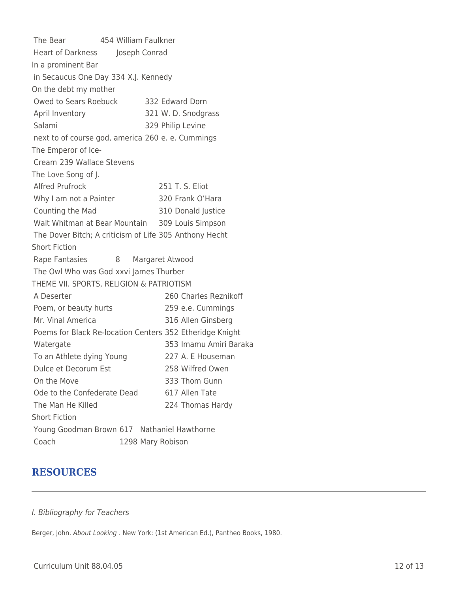The Bear 454 William Faulkner Heart of Darkness Joseph Conrad In a prominent Bar in Secaucus One Day 334 X.J. Kennedy On the debt my mother Owed to Sears Roebuck 332 Edward Dorn April Inventory 321 W. D. Snodgrass Salami 329 Philip Levine next to of course god, america 260 e. e. Cummings The Emperor of Ice-Cream 239 Wallace Stevens The Love Song of J. Alfred Prufrock 251 T. S. Eliot Why I am not a Painter 320 Frank O'Hara Counting the Mad 310 Donald Justice Walt Whitman at Bear Mountain 309 Louis Simpson The Dover Bitch; A criticism of Life 305 Anthony Hecht Short Fiction Rape Fantasies 8 Margaret Atwood The Owl Who was God xxvi James Thurber THEME VII. SPORTS, RELIGION & PATRIOTISM A Deserter 260 Charles Reznikoff Poem, or beauty hurts 259 e.e. Cummings Mr. Vinal America 316 Allen Ginsberg Poems for Black Re-location Centers 352 Etheridge Knight Watergate 353 Imamu Amiri Baraka To an Athlete dying Young 227 A. E Houseman Dulce et Decorum Est 258 Wilfred Owen On the Move 333 Thom Gunn Ode to the Confederate Dead 617 Allen Tate The Man He Killed 224 Thomas Hardy Short Fiction Young Goodman Brown 617 Nathaniel Hawthorne Coach 1298 Mary Robison

# **RESOURCES**

#### I. Bibliography for Teachers

Berger, John. About Looking . New York: (1st American Ed.), Pantheo Books, 1980.